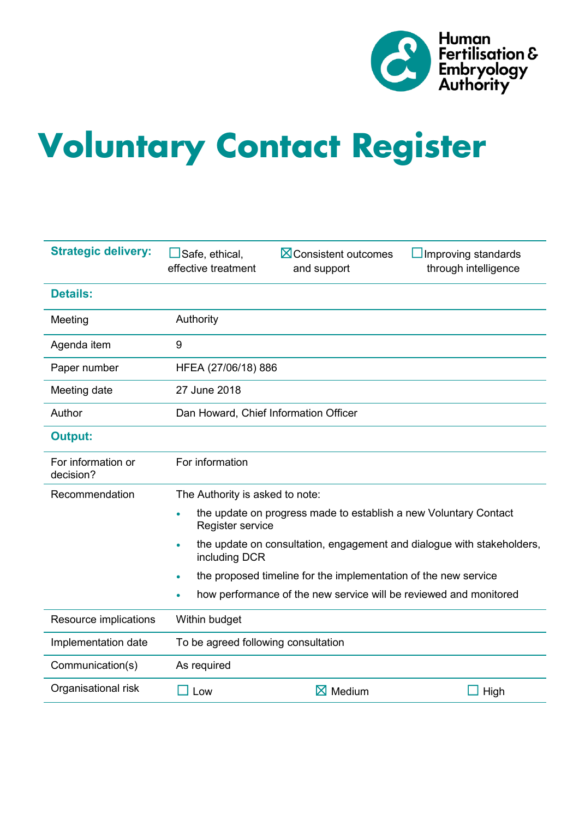

# **Voluntary Contact Register**

| <b>Strategic delivery:</b>      | Safe, ethical,<br>$\boxtimes$ Consistent outcomes<br>Improving standards<br>effective treatment<br>through intelligence<br>and support |  |  |
|---------------------------------|----------------------------------------------------------------------------------------------------------------------------------------|--|--|
| <b>Details:</b>                 |                                                                                                                                        |  |  |
| Meeting                         | Authority                                                                                                                              |  |  |
| Agenda item                     | 9                                                                                                                                      |  |  |
| Paper number                    | HFEA (27/06/18) 886                                                                                                                    |  |  |
| Meeting date                    | 27 June 2018                                                                                                                           |  |  |
| Author                          | Dan Howard, Chief Information Officer                                                                                                  |  |  |
| <b>Output:</b>                  |                                                                                                                                        |  |  |
| For information or<br>decision? | For information                                                                                                                        |  |  |
| Recommendation                  | The Authority is asked to note:                                                                                                        |  |  |
|                                 | the update on progress made to establish a new Voluntary Contact<br>$\bullet$<br>Register service                                      |  |  |
|                                 | the update on consultation, engagement and dialogue with stakeholders,<br>$\bullet$<br>including DCR                                   |  |  |
|                                 | the proposed timeline for the implementation of the new service<br>$\bullet$                                                           |  |  |
|                                 | how performance of the new service will be reviewed and monitored<br>$\bullet$                                                         |  |  |
| Resource implications           | Within budget                                                                                                                          |  |  |
| Implementation date             | To be agreed following consultation                                                                                                    |  |  |
| Communication(s)                | As required                                                                                                                            |  |  |
| Organisational risk             | $\boxtimes$ Medium<br>$\Box$ Low<br>High                                                                                               |  |  |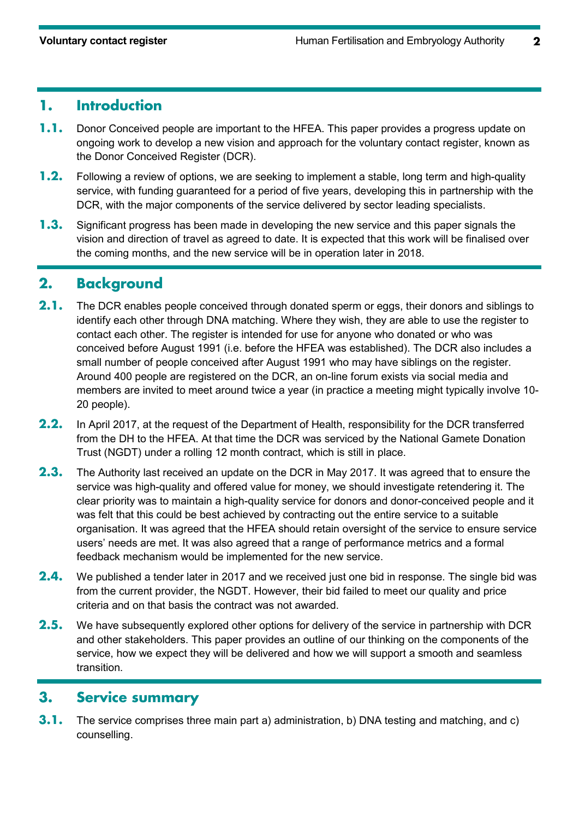## **1. Introduction**

- **1.1.** Donor Conceived people are important to the HFEA. This paper provides a progress update on ongoing work to develop a new vision and approach for the voluntary contact register, known as the Donor Conceived Register (DCR).
- **1.2.** Following a review of options, we are seeking to implement a stable, long term and high-quality service, with funding guaranteed for a period of five years, developing this in partnership with the DCR, with the major components of the service delivered by sector leading specialists.
- **1.3.** Significant progress has been made in developing the new service and this paper signals the vision and direction of travel as agreed to date. It is expected that this work will be finalised over the coming months, and the new service will be in operation later in 2018.

#### **2. Background**

- **2.1.** The DCR enables people conceived through donated sperm or eggs, their donors and siblings to identify each other through DNA matching. Where they wish, they are able to use the register to contact each other. The register is intended for use for anyone who donated or who was conceived before August 1991 (i.e. before the HFEA was established). The DCR also includes a small number of people conceived after August 1991 who may have siblings on the register. Around 400 people are registered on the DCR, an on-line forum exists via social media and members are invited to meet around twice a year (in practice a meeting might typically involve 10- 20 people).
- **2.2.** In April 2017, at the request of the Department of Health, responsibility for the DCR transferred from the DH to the HFEA. At that time the DCR was serviced by the National Gamete Donation Trust (NGDT) under a rolling 12 month contract, which is still in place.
- **2.3.** The Authority last received an update on the DCR in May 2017. It was agreed that to ensure the service was high-quality and offered value for money, we should investigate retendering it. The clear priority was to maintain a high-quality service for donors and donor-conceived people and it was felt that this could be best achieved by contracting out the entire service to a suitable organisation. It was agreed that the HFEA should retain oversight of the service to ensure service users' needs are met. It was also agreed that a range of performance metrics and a formal feedback mechanism would be implemented for the new service.
- **2.4.** We published a tender later in 2017 and we received just one bid in response. The single bid was from the current provider, the NGDT. However, their bid failed to meet our quality and price criteria and on that basis the contract was not awarded.
- **2.5.** We have subsequently explored other options for delivery of the service in partnership with DCR and other stakeholders. This paper provides an outline of our thinking on the components of the service, how we expect they will be delivered and how we will support a smooth and seamless transition.

#### **3. Service summary**

**3.1.** The service comprises three main part a) administration, b) DNA testing and matching, and c) counselling.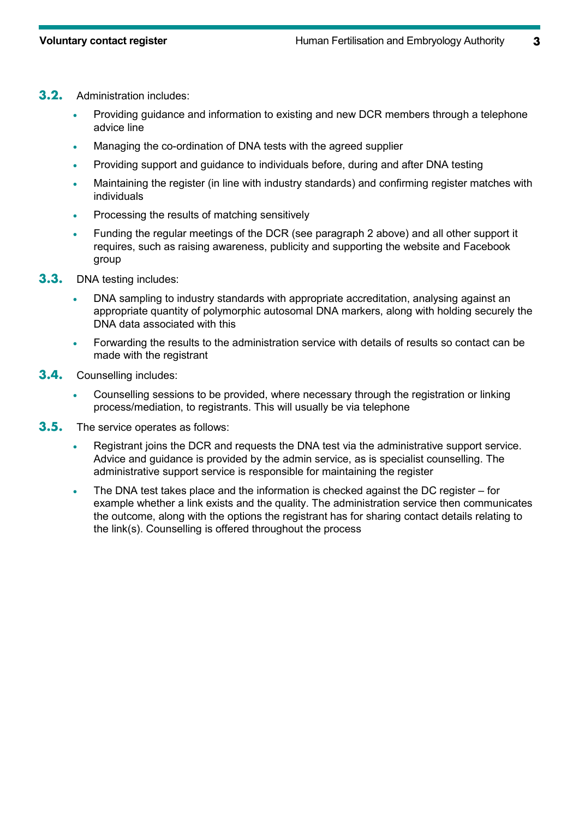- **3.2.** Administration includes:
	- Providing quidance and information to existing and new DCR members through a telephone advice line
	- Managing the co-ordination of DNA tests with the agreed supplier
	- Providing support and guidance to individuals before, during and after DNA testing
	- Maintaining the register (in line with industry standards) and confirming register matches with individuals
	- Processing the results of matching sensitively
	- Funding the regular meetings of the DCR (see paragraph 2 above) and all other support it requires, such as raising awareness, publicity and supporting the website and Facebook group
- **3.3.** DNA testing includes:
	- DNA sampling to industry standards with appropriate accreditation, analysing against an appropriate quantity of polymorphic autosomal DNA markers, along with holding securely the DNA data associated with this
	- Forwarding the results to the administration service with details of results so contact can be made with the registrant
- **3.4.** Counselling includes:
	- Counselling sessions to be provided, where necessary through the registration or linking process/mediation, to registrants. This will usually be via telephone
- **3.5.** The service operates as follows:
	- Registrant joins the DCR and requests the DNA test via the administrative support service. Advice and guidance is provided by the admin service, as is specialist counselling. The administrative support service is responsible for maintaining the register
	- The DNA test takes place and the information is checked against the DC register for example whether a link exists and the quality. The administration service then communicates the outcome, along with the options the registrant has for sharing contact details relating to the link(s). Counselling is offered throughout the process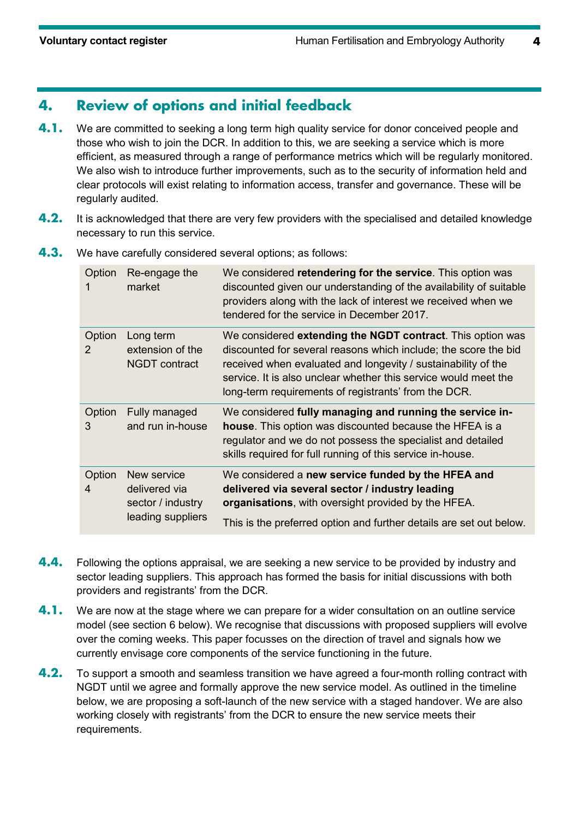## **4. Review of options and initial feedback**

- **4.1.** We are committed to seeking a long term high quality service for donor conceived people and those who wish to join the DCR. In addition to this, we are seeking a service which is more efficient, as measured through a range of performance metrics which will be regularly monitored. We also wish to introduce further improvements, such as to the security of information held and clear protocols will exist relating to information access, transfer and governance. These will be regularly audited.
- **4.2.** It is acknowledged that there are very few providers with the specialised and detailed knowledge necessary to run this service.
	- Option Re-engage the 1 market We considered **retendering for the service**. This option was discounted given our understanding of the availability of suitable providers along with the lack of interest we received when we tendered for the service in December 2017. Option Long term 2 extension of the NGDT contract We considered **extending the NGDT contract**. This option was discounted for several reasons which include; the score the bid received when evaluated and longevity / sustainability of the service. It is also unclear whether this service would meet the long-term requirements of registrants' from the DCR. Option Fully managed 3 and run in-house We considered **fully managing and running the service inhouse**. This option was discounted because the HFEA is a regulator and we do not possess the specialist and detailed skills required for full running of this service in-house. Option New service 4 delivered via sector / industry leading suppliers We considered a **new service funded by the HFEA and delivered via several sector / industry leading organisations**, with oversight provided by the HFEA. This is the preferred option and further details are set out below.
- **4.3.** We have carefully considered several options; as follows:

- **4.4.** Following the options appraisal, we are seeking a new service to be provided by industry and sector leading suppliers. This approach has formed the basis for initial discussions with both providers and registrants' from the DCR.
- **4.1.** We are now at the stage where we can prepare for a wider consultation on an outline service model (see section 6 below). We recognise that discussions with proposed suppliers will evolve over the coming weeks. This paper focusses on the direction of travel and signals how we currently envisage core components of the service functioning in the future.
- **4.2.** To support a smooth and seamless transition we have agreed a four-month rolling contract with NGDT until we agree and formally approve the new service model. As outlined in the timeline below, we are proposing a soft-launch of the new service with a staged handover. We are also working closely with registrants' from the DCR to ensure the new service meets their requirements.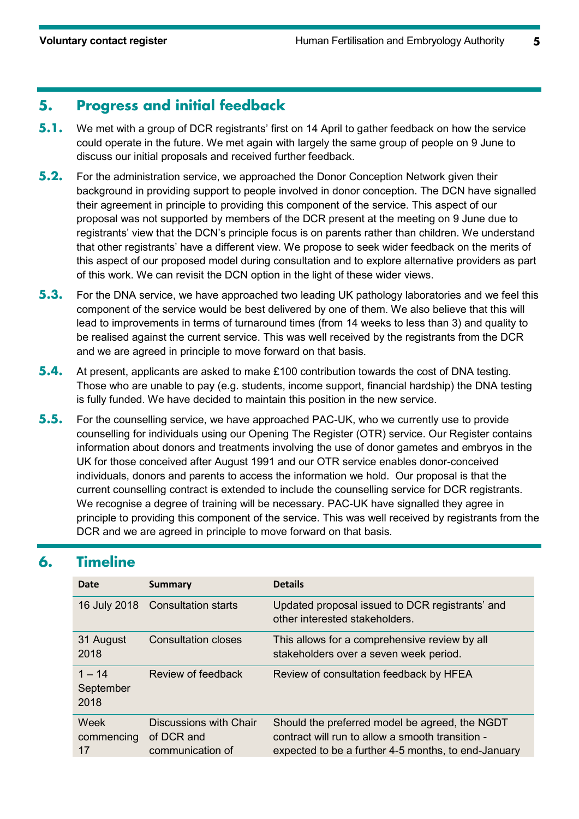## **5. Progress and initial feedback**

- **5.1.** We met with a group of DCR registrants' first on 14 April to gather feedback on how the service could operate in the future. We met again with largely the same group of people on 9 June to discuss our initial proposals and received further feedback.
- **5.2.** For the administration service, we approached the Donor Conception Network given their background in providing support to people involved in donor conception. The DCN have signalled their agreement in principle to providing this component of the service. This aspect of our proposal was not supported by members of the DCR present at the meeting on 9 June due to registrants' view that the DCN's principle focus is on parents rather than children. We understand that other registrants' have a different view. We propose to seek wider feedback on the merits of this aspect of our proposed model during consultation and to explore alternative providers as part of this work. We can revisit the DCN option in the light of these wider views.
- **5.3.** For the DNA service, we have approached two leading UK pathology laboratories and we feel this component of the service would be best delivered by one of them. We also believe that this will lead to improvements in terms of turnaround times (from 14 weeks to less than 3) and quality to be realised against the current service. This was well received by the registrants from the DCR and we are agreed in principle to move forward on that basis.
- **5.4.** At present, applicants are asked to make £100 contribution towards the cost of DNA testing. Those who are unable to pay (e.g. students, income support, financial hardship) the DNA testing is fully funded. We have decided to maintain this position in the new service.
- **5.5.** For the counselling service, we have approached PAC-UK, who we currently use to provide counselling for individuals using our Opening The Register (OTR) service. Our Register contains information about donors and treatments involving the use of donor gametes and embryos in the UK for those conceived after August 1991 and our OTR service enables donor-conceived individuals, donors and parents to access the information we hold. Our proposal is that the current counselling contract is extended to include the counselling service for DCR registrants. We recognise a degree of training will be necessary. PAC-UK have signalled they agree in principle to providing this component of the service. This was well received by registrants from the DCR and we are agreed in principle to move forward on that basis.

# **6. Timeline**

| Date                          | <b>Summary</b>                                           | <b>Details</b>                                                                                                                                            |
|-------------------------------|----------------------------------------------------------|-----------------------------------------------------------------------------------------------------------------------------------------------------------|
| 16 July 2018                  | <b>Consultation starts</b>                               | Updated proposal issued to DCR registrants' and<br>other interested stakeholders.                                                                         |
| 31 August<br>2018             | Consultation closes                                      | This allows for a comprehensive review by all<br>stakeholders over a seven week period.                                                                   |
| $1 - 14$<br>September<br>2018 | Review of feedback                                       | Review of consultation feedback by HFEA                                                                                                                   |
| Week<br>commencing<br>17      | Discussions with Chair<br>of DCR and<br>communication of | Should the preferred model be agreed, the NGDT<br>contract will run to allow a smooth transition -<br>expected to be a further 4-5 months, to end-January |